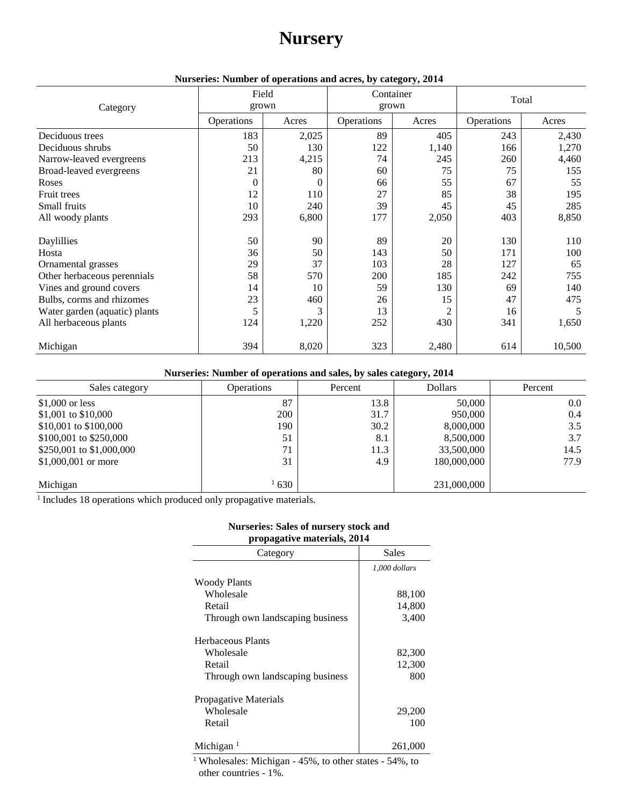# **Nursery**

|                               | Field      |          | Container  |       | Total      |        |
|-------------------------------|------------|----------|------------|-------|------------|--------|
| Category                      | grown      |          | grown      |       |            |        |
|                               | Operations | Acres    | Operations | Acres | Operations | Acres  |
| Deciduous trees               | 183        | 2,025    | 89         | 405   | 243        | 2,430  |
| Deciduous shrubs              | 50         | 130      | 122        | 1,140 | 166        | 1,270  |
| Narrow-leaved evergreens      | 213        | 4,215    | 74         | 245   | 260        | 4,460  |
| Broad-leaved evergreens       | 21         | 80       | 60         | 75    | 75         | 155    |
| Roses                         | $\Omega$   | $\Omega$ | 66         | 55    | 67         | 55     |
| Fruit trees                   | 12         | 110      | 27         | 85    | 38         | 195    |
| Small fruits                  | 10         | 240      | 39         | 45    | 45         | 285    |
| All woody plants              | 293        | 6,800    | 177        | 2,050 | 403        | 8,850  |
| Daylillies                    | 50         | 90       | 89         | 20    | 130        | 110    |
| Hosta                         | 36         | 50       | 143        | 50    | 171        | 100    |
| Ornamental grasses            | 29         | 37       | 103        | 28    | 127        | 65     |
| Other herbaceous perennials   | 58         | 570      | 200        | 185   | 242        | 755    |
| Vines and ground covers       | 14         | 10       | 59         | 130   | 69         | 140    |
| Bulbs, corms and rhizomes     | 23         | 460      | 26         | 15    | 47         | 475    |
| Water garden (aquatic) plants | 5          | 3        | 13         | 2     | 16         | 5      |
| All herbaceous plants         | 124        | 1,220    | 252        | 430   | 341        | 1,650  |
| Michigan                      | 394        | 8,020    | 323        | 2,480 | 614        | 10,500 |

## **Nurseries: Number of operations and acres, by category, 2014**

## **Nurseries: Number of operations and sales, by sales category, 2014**

| Sales category             | <b>Operations</b> | Percent | <b>Dollars</b> | Percent |
|----------------------------|-------------------|---------|----------------|---------|
| $$1,000$ or less           | 87                | 13.8    | 50,000         | 0.0     |
| \$1,001 to \$10,000        | 200               | 31.7    | 950,000        | 0.4     |
| \$10,001 to \$100,000      | 190-              | 30.2    | 8,000,000      | 3.5     |
| $$100,001$ to $$250,000$   | 51                | 8.1     | 8,500,000      | 3.7     |
| $$250,001$ to $$1,000,000$ | 71                | 11.3    | 33,500,000     | 14.5    |
| \$1,000,001 or more        | 31                | 4.9     | 180,000,000    | 77.9    |
|                            |                   |         |                |         |
| Michigan                   | 630               |         | 231,000,000    |         |

<sup>1</sup> Includes 18 operations which produced only propagative materials.

#### **Nurseries: Sales of nursery stock and propagative materials, 2014**

| r - - r - - <b>-</b> -<br>Category | <b>Sales</b>  |
|------------------------------------|---------------|
|                                    | 1,000 dollars |
| <b>Woody Plants</b>                |               |
| Wholesale                          | 88,100        |
| Retail                             | 14,800        |
| Through own landscaping business   | 3,400         |
| Herbaceous Plants                  |               |
| Wholesale                          | 82,300        |
| Retail                             | 12,300        |
| Through own landscaping business   | 800           |
| Propagative Materials              |               |
| Wholesale                          | 29,200        |
| Retail                             | 100           |
| Michigan                           | 261,000       |

<sup>1</sup> Wholesales: Michigan - 45%, to other states - 54%, to other countries - 1%.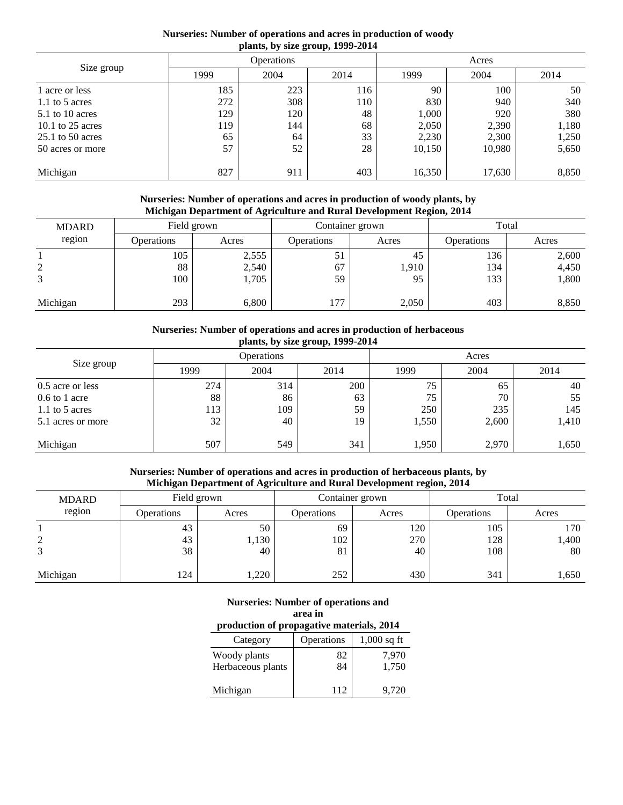**Nurseries: Number of operations and acres in production of woody plants, by size group, 1999-2014**

|                    |      | $\overline{\phantom{a}}$<br><b>Operations</b> |      | Acres  |        |       |
|--------------------|------|-----------------------------------------------|------|--------|--------|-------|
| Size group         | 1999 | 2004                                          | 2014 | 1999   | 2004   | 2014  |
| 1 acre or less     | 185  | 223                                           | 116  | 90     | 100    | 50    |
| 1.1 to 5 acres     | 272  | 308                                           | 110  | 830    | 940    | 340   |
| $5.1$ to 10 acres  | 129  | 120                                           | 48   | 1,000  | 920    | 380   |
| 10.1 to $25$ acres | 119  | 144                                           | 68   | 2,050  | 2,390  | 1,180 |
| $25.1$ to 50 acres | 65   | 64                                            | 33   | 2,230  | 2,300  | 1,250 |
| 50 acres or more   | 57   | 52                                            | 28   | 10,150 | 10,980 | 5,650 |
|                    |      |                                               |      |        |        |       |
| Michigan           | 827  | 911                                           | 403  | 16,350 | 17,630 | 8,850 |

## **Nurseries: Number of operations and acres in production of woody plants, by Michigan Department of Agriculture and Rural Development Region, 2014**

| <b>MDARD</b> | Field grown       |       |                   | Container grown | Total             |       |  |
|--------------|-------------------|-------|-------------------|-----------------|-------------------|-------|--|
| region       | <b>Operations</b> | Acres | <b>Operations</b> | Acres           | <b>Operations</b> | Acres |  |
|              | 105               | 2,555 | 51                | 45              | 136               | 2,600 |  |
| ↑            | 88                | 2,540 | 67                | 1,910           | 134               | 4,450 |  |
| 3            | 100               | 1,705 | 59                | 95              | 133               | 1,800 |  |
| Michigan     | 293               | 6,800 | 177               | 2,050           | 403               | 8,850 |  |

#### **Nurseries: Number of operations and acres in production of herbaceous plants, by size group, 1999-2014**

| $\overline{ }$<br>. . <b>.</b> . |      |                   |      |       |       |       |
|----------------------------------|------|-------------------|------|-------|-------|-------|
|                                  |      | <b>Operations</b> |      | Acres |       |       |
| Size group                       | 1999 | 2004              | 2014 | 1999  | 2004  | 2014  |
| 0.5 acre or less                 | 274  | 314               | 200  | 75    | 65    | 40    |
| $0.6$ to 1 acre                  | 88   | 86                | 63   | 75    | 70    | 55    |
| 1.1 to 5 acres                   | 113  | 109               | 59   | 250   | 235   | 145   |
| 5.1 acres or more                | 32   | 40                | 19   | 1,550 | 2,600 | 1,410 |
| Michigan                         | 507  | 549               | 341  | 1,950 | 2,970 | 1,650 |

#### **Nurseries: Number of operations and acres in production of herbaceous plants, by Michigan Department of Agriculture and Rural Development region, 2014**

| <b>MDARD</b> | Field grown       |                   |                   | Container grown  | Total             |                    |  |
|--------------|-------------------|-------------------|-------------------|------------------|-------------------|--------------------|--|
| region       | <b>Operations</b> | Acres             | <b>Operations</b> | Acres            | <b>Operations</b> | Acres              |  |
| ∍<br>3       | 43<br>43<br>38    | 50<br>1,130<br>40 | 69<br>102<br>81   | 120<br>270<br>40 | 105<br>128<br>108 | 170<br>1,400<br>80 |  |
| Michigan     | 124               | 1,220             | 252               | 430              | 341               | 1,650              |  |

| <b>Nurseries: Number of operations and</b><br>area in |            |               |  |  |
|-------------------------------------------------------|------------|---------------|--|--|
| production of propagative materials, 2014             |            |               |  |  |
| Category                                              | Operations | $1,000$ sq ft |  |  |
| Woody plants                                          | 82         | 7,970         |  |  |
| Herbaceous plants                                     | 84         | 1,750         |  |  |
| Michigan                                              | 112        | 9.720         |  |  |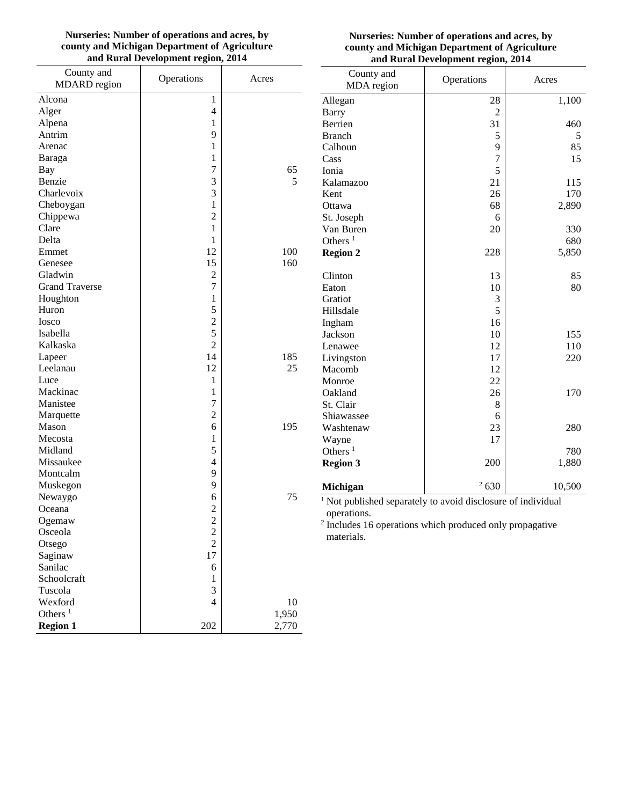**Nurseries: Number of operations and acres, by county and Michigan Department of Agriculture and Rural Development region, 2014**

**Nurseries: Number of operations and acres, by county and Michigan Department of Agriculture and Rural Development region, 2014**

| County and<br><b>MDARD</b> region | Operations     | Acres | County and<br>MDA region                                                | Operations     | Acres  |
|-----------------------------------|----------------|-------|-------------------------------------------------------------------------|----------------|--------|
| Alcona                            | 1              |       | Allegan                                                                 | 28             | 1,100  |
| Alger                             | $\overline{4}$ |       | Barry                                                                   | $\overline{2}$ |        |
| Alpena                            | $\mathbf{1}$   |       | Berrien                                                                 | 31             | 460    |
| Antrim                            | 9              |       | <b>Branch</b>                                                           | 5              | 5      |
| Arenac                            | 1              |       | Calhoun                                                                 | 9              | 85     |
| Baraga                            | $\mathbf{1}$   |       | Cass                                                                    | 7              | 15     |
| Bay                               | $\overline{7}$ | 65    | Ionia                                                                   | 5              |        |
| Benzie                            | 3              | 5     | Kalamazoo                                                               | 21             | 115    |
| Charlevoix                        | 3              |       | Kent                                                                    | 26             | 170    |
| Cheboygan                         | $\mathbf{1}$   |       | Ottawa                                                                  | 68             | 2,890  |
| Chippewa                          | $\overline{c}$ |       | St. Joseph                                                              | 6              |        |
| Clare                             | $\,1\,$        |       | Van Buren                                                               | 20             | 330    |
| Delta                             | $\mathbf{1}$   |       | Others $1$                                                              |                | 680    |
| Emmet                             | 12             | 100   | <b>Region 2</b>                                                         | 228            | 5,850  |
| Genesee                           | 15             | 160   |                                                                         |                |        |
| Gladwin                           | $\overline{c}$ |       | Clinton                                                                 | 13             | 85     |
| <b>Grand Traverse</b>             | $\overline{7}$ |       | Eaton                                                                   | 10             | 80     |
| Houghton                          | $\mathbf{1}$   |       | Gratiot                                                                 | 3              |        |
| Huron                             | 5              |       | Hillsdale                                                               | 5              |        |
| Iosco                             | $\overline{c}$ |       | Ingham                                                                  | 16             |        |
| Isabella                          | 5              |       | Jackson                                                                 | 10             | 155    |
| Kalkaska                          | $\overline{2}$ |       | Lenawee                                                                 | 12             | 110    |
| Lapeer                            | 14             | 185   | Livingston                                                              | 17             | 220    |
| Leelanau                          | 12             | 25    | Macomb                                                                  | 12             |        |
| Luce                              | $\mathbf{1}$   |       | Monroe                                                                  | 22             |        |
| Mackinac                          | $\mathbf{1}$   |       | Oakland                                                                 | 26             | 170    |
| Manistee                          | $\overline{7}$ |       | St. Clair                                                               | 8              |        |
| Marquette                         | $\overline{c}$ |       | Shiawassee                                                              | 6              |        |
| Mason                             | 6              | 195   | Washtenaw                                                               | 23             | 280    |
| Mecosta                           | $\mathbf{1}$   |       | Wayne                                                                   | 17             |        |
| Midland                           | 5              |       | Others $1$                                                              |                | 780    |
| Missaukee                         | 4              |       | <b>Region 3</b>                                                         | 200            | 1,880  |
| Montcalm                          | 9              |       |                                                                         |                |        |
| Muskegon                          | 9              |       | Michigan                                                                | 2630           | 10,500 |
| Newaygo                           | 6              | 75    |                                                                         |                |        |
| Oceana                            | $\overline{c}$ |       | <sup>1</sup> Not published separately to avoid disclosure of individual |                |        |
| Ogemaw                            | $\overline{2}$ |       | operations.                                                             |                |        |
| Osceola                           |                |       | <sup>2</sup> Includes 16 operations which produced only propagative     |                |        |
| Otsego                            | $\frac{2}{2}$  |       | materials.                                                              |                |        |
| Saginaw                           | 17             |       |                                                                         |                |        |
| Sanilac                           | $\sqrt{6}$     |       |                                                                         |                |        |
| Schoolcraft                       | $\mathbf{1}$   |       |                                                                         |                |        |
| Tuscola                           | $\mathfrak{Z}$ |       |                                                                         |                |        |
| Wexford                           | 4              | 10    |                                                                         |                |        |
| Others $1$                        |                | 1,950 |                                                                         |                |        |
| <b>Region 1</b>                   | 202            | 2,770 |                                                                         |                |        |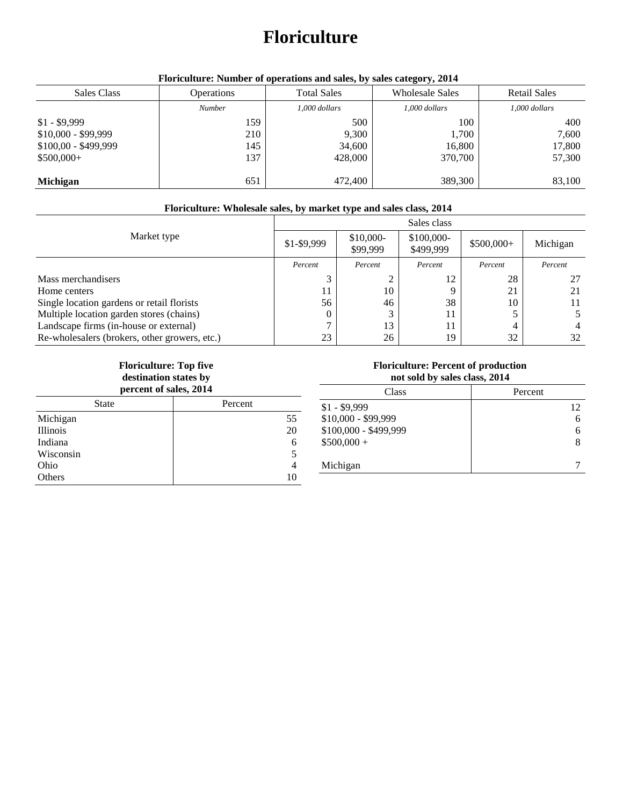# **Floriculture**

| Sales Class          | <b>Total Sales</b><br><b>Operations</b> |               | <b>Wholesale Sales</b> | <b>Retail Sales</b> |  |
|----------------------|-----------------------------------------|---------------|------------------------|---------------------|--|
|                      | <b>Number</b>                           | 1,000 dollars | $1,000$ dollars        | 1,000 dollars       |  |
| $$1 - $9,999$        | 159                                     | 500           | 100                    | 400                 |  |
| $$10,000 - $99,999$  | 210                                     | 9,300         | 1,700                  | 7,600               |  |
| $$100,00 - $499,999$ | 145                                     | 34,600        | 16,800                 | 17,800              |  |
| $$500,000+$          | 137                                     | 428,000       | 370,700                | 57,300              |  |
|                      |                                         |               |                        |                     |  |
| <b>Michigan</b>      | 651                                     | 472,400       | 389,300                | 83,100              |  |

# **Floriculture: Number of operations and sales, by sales category, 2014**

## **Floriculture: Wholesale sales, by market type and sales class, 2014**

|                                               | Sales class |                        |                         |             |          |  |
|-----------------------------------------------|-------------|------------------------|-------------------------|-------------|----------|--|
| Market type                                   | \$1-\$9,999 | $$10,000-$<br>\$99,999 | \$100,000-<br>\$499,999 | $$500,000+$ | Michigan |  |
|                                               | Percent     | Percent                | Percent                 | Percent     | Percent  |  |
| Mass merchandisers                            |             | ◠                      | 12                      | 28          |          |  |
| Home centers                                  | 11          | 10                     | Q                       | 21          | 21       |  |
| Single location gardens or retail florists    | 56          | 46                     | 38                      | 10          | 11       |  |
| Multiple location garden stores (chains)      |             | 3                      | 11                      |             |          |  |
| Landscape firms (in-house or external)        |             | 13                     | 11                      |             |          |  |
| Re-wholesalers (brokers, other growers, etc.) | 23          | 26                     | 19                      | 32          | 32       |  |

#### **Floriculture: Top five destination states by percent of sales, 2014**

| <b>State</b> | Percent |
|--------------|---------|
| Michigan     | 55      |
| Illinois     | 20      |
| Indiana      | 6       |
| Wisconsin    |         |
| Ohio         |         |
| Others       | 10      |
|              |         |

# **Floriculture: Percent of production**

**not sold by sales class, 2014**

| Class                 | Percent |
|-----------------------|---------|
| $$1 - $9,999$         | 12      |
| \$10,000 - \$99,999   | 6       |
| \$100,000 - \$499,999 | 6       |
| $$500,000 +$          | 8       |
| Michigan              |         |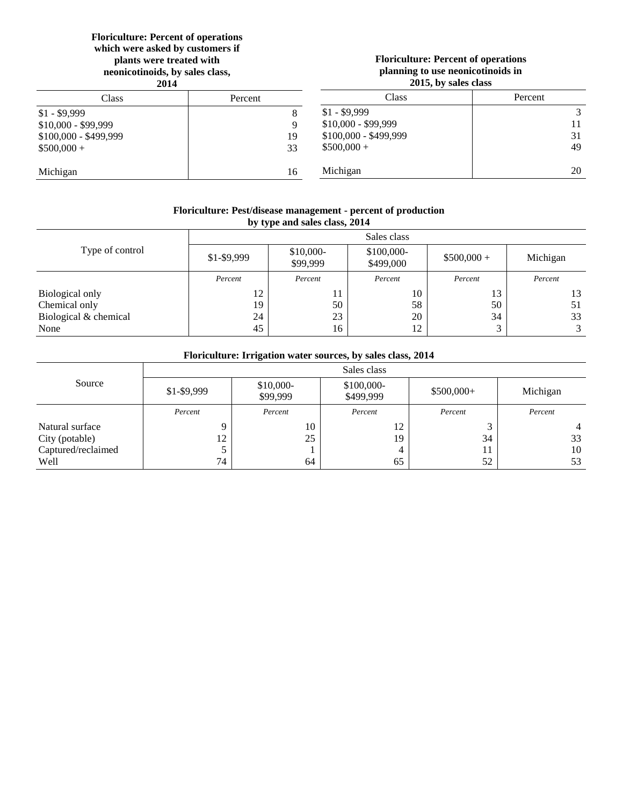## **Floriculture: Percent of operations which were asked by customers if plants were treated with neonicotinoids, by sales class,**

#### **Floriculture: Percent of operations planning to use neonicotinoids in 2015, by sales class**

| 2014                  |         | 2015, by sales class  |         |  |
|-----------------------|---------|-----------------------|---------|--|
| Class                 | Percent | Class                 | Percent |  |
| $$1 - $9,999$         |         | $$1 - $9,999$         | 3       |  |
| $$10,000 - $99,999$   |         | $$10,000 - $99,999$   | 11      |  |
| $$100,000 - $499,999$ | 19      | $$100,000 - $499,999$ | 31      |  |
| $$500,000+$           | 33      | $$500.000+$           | 49      |  |
| Michigan              | 16      | Michigan              | 20      |  |

#### **Floriculture: Pest/disease management - percent of production by type and sales class, 2014**

|                        | Sales class |                        |                         |              |          |
|------------------------|-------------|------------------------|-------------------------|--------------|----------|
| Type of control        | $$1-$9,999$ | $$10,000-$<br>\$99,999 | \$100,000-<br>\$499,000 | $$500,000 +$ | Michigan |
|                        | Percent     | Percent                | Percent                 | Percent      | Percent  |
| <b>Biological only</b> | 12          | 11                     | 10                      | 13           | 13       |
| Chemical only          | 19          | 50                     | 58                      | 50           | 51       |
| Biological & chemical  | 24          | 23                     | 20                      | 34           | 33       |
| None                   | 45          | 16                     | 12                      |              | 3        |

## **Floriculture: Irrigation water sources, by sales class, 2014**

|                    |             |                       | Sales class             |             |          |
|--------------------|-------------|-----------------------|-------------------------|-------------|----------|
| Source             | $$1-$9,999$ | \$10,000-<br>\$99,999 | \$100,000-<br>\$499,999 | $$500,000+$ | Michigan |
|                    | Percent     | Percent               | Percent                 | Percent     | Percent  |
| Natural surface    |             | 10                    | 12                      |             |          |
| City (potable)     | 12          | 25                    | 19                      | 34          | 33       |
| Captured/reclaimed |             |                       | 4                       |             | 10       |
| Well               | 74          | 64                    | 65                      | 52          | 53       |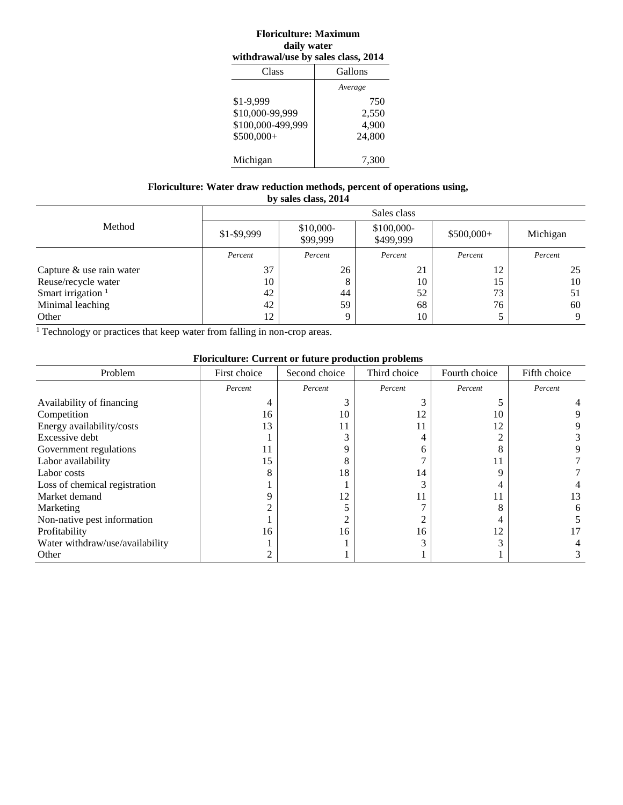#### **Floriculture: Maximum daily water withdrawal/use by sales class, 2014**

| Class             | Gallons |
|-------------------|---------|
|                   | Average |
| \$1-9,999         | 750     |
| \$10,000-99,999   | 2,550   |
| \$100,000-499,999 | 4,900   |
| \$500,000+        | 24,800  |
|                   |         |
| Michigan          | 7.300   |

#### **Floriculture: Water draw reduction methods, percent of operations using, by sales class, 2014**

|                          | Sales class |                        |                         |             |          |
|--------------------------|-------------|------------------------|-------------------------|-------------|----------|
| Method                   | $$1-$9,999$ | $$10,000-$<br>\$99,999 | \$100,000-<br>\$499,999 | $$500,000+$ | Michigan |
|                          | Percent     | Percent                | Percent                 | Percent     | Percent  |
| Capture & use rain water | 37          | 26                     | 21                      | 12          | 25       |
| Reuse/recycle water      | 10          | 8                      | 10                      | 15          | 10       |
| Smart irrigation $1$     | 42          | 44                     | 52                      | 73          | 51       |
| Minimal leaching         | 42          | 59                     | 68                      | 76          | 60       |
| Other                    | 12          | Q                      | 10                      |             | 9        |

<sup>1</sup> Technology or practices that keep water from falling in non-crop areas.

| Problem                         | First choice | Second choice | Third choice | Fourth choice | Fifth choice |
|---------------------------------|--------------|---------------|--------------|---------------|--------------|
|                                 | Percent      | Percent       | Percent      | Percent       | Percent      |
| Availability of financing       | 4            |               |              |               |              |
| Competition                     | 16           | 10            |              | 10            |              |
| Energy availability/costs       | 13           | 11            |              | 12            |              |
| Excessive debt                  |              |               |              |               |              |
| Government regulations          | 11           |               |              |               |              |
| Labor availability              | 15           |               |              |               |              |
| Labor costs                     |              | 18            | 14           |               |              |
| Loss of chemical registration   |              |               |              |               |              |
| Market demand                   |              | 12            |              | 11            | 13           |
| Marketing                       |              |               |              |               | 6            |
| Non-native pest information     |              |               |              |               |              |
| Profitability                   | 16           | 16            | 16           | 12            |              |
| Water withdraw/use/availability |              |               |              |               |              |
| Other                           |              |               |              |               | 3.           |

# **Floriculture: Current or future production problems**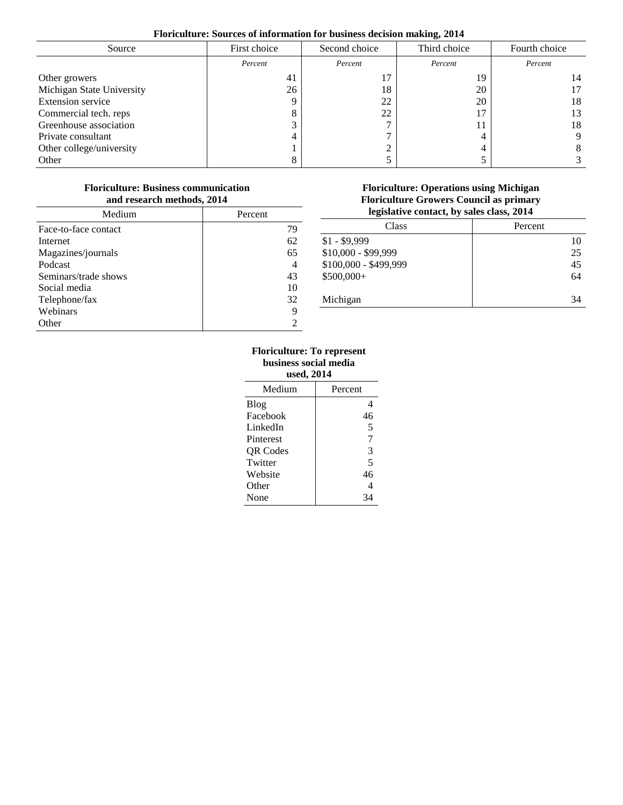## **Floriculture: Sources of information for business decision making, 2014**

| Source                    | First choice | Second choice | Third choice | Fourth choice |
|---------------------------|--------------|---------------|--------------|---------------|
|                           | Percent      | Percent       | Percent      | Percent       |
| Other growers             | 41           | 17            | 19           | 14            |
| Michigan State University | 26           | 18            | 20           | 17            |
| <b>Extension service</b>  |              | 22            | 20           | 18            |
| Commercial tech. reps     |              | 22            | 17           | 13            |
| Greenhouse association    |              |               |              | 18            |
| Private consultant        |              |               |              | 9             |
| Other college/university  |              | ◠             |              | 8             |
| Other                     |              |               |              |               |

#### **Floriculture: Business communication and research methods, 2014**

| Medium               | Percent |
|----------------------|---------|
| Face-to-face contact | 79      |
| Internet             | 62      |
| Magazines/journals   | 65      |
| Podcast              |         |
| Seminars/trade shows | 43      |
| Social media         | 10      |
| Telephone/fax        | 32      |
| Webinars             | q       |
| Other                |         |

## **Floriculture: Operations using Michigan Floriculture Growers Council as primary legislative contact, by sales class, 2014**

| Class                 | Percent |
|-----------------------|---------|
| $$1 - $9,999$         | 10      |
| \$10,000 - \$99,999   | 25      |
| \$100,000 - \$499,999 | 45      |
| $$500,000+$           | 64      |
| Michigan              | 34      |

#### **Floriculture: To represent business social media used, 2014**

| ustu, 2014      |         |  |  |  |
|-----------------|---------|--|--|--|
| Medium          | Percent |  |  |  |
| <b>Blog</b>     |         |  |  |  |
| Facebook        | 46      |  |  |  |
| LinkedIn        | 5       |  |  |  |
| Pinterest       | 7       |  |  |  |
| <b>OR</b> Codes | 3       |  |  |  |
| Twitter         | 5       |  |  |  |
| Website         | 46      |  |  |  |
| Other           | 4       |  |  |  |
| None            |         |  |  |  |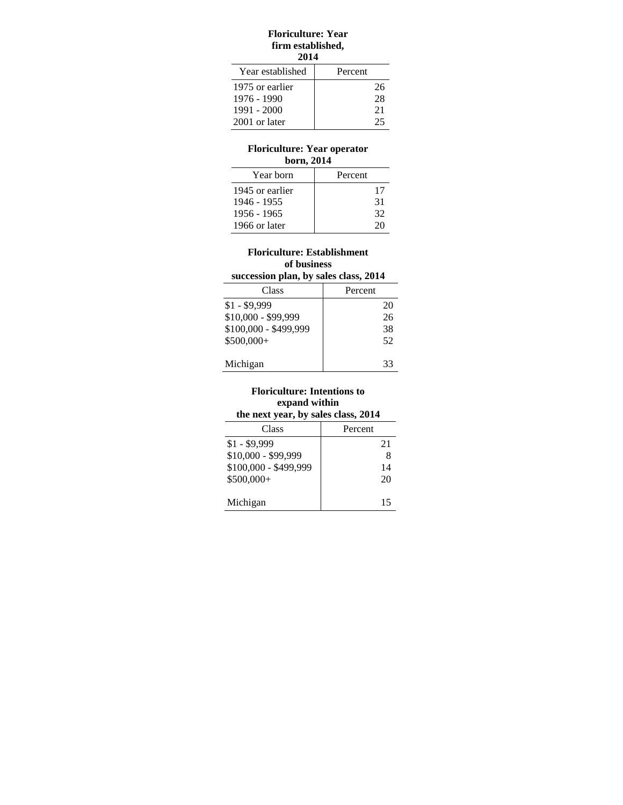#### **Floriculture: Year firm established, 2014**

| -                |         |
|------------------|---------|
| Year established | Percent |
| 1975 or earlier  | 26      |
| 1976 - 1990      | 28      |
| 1991 - 2000      | 21      |
| 2001 or later    | 25      |

#### **Floriculture: Year operator born, 2014**

| Year born       | Percent |
|-----------------|---------|
| 1945 or earlier | 17      |
| 1946 - 1955     | 31      |
| 1956 - 1965     | 32      |
| 1966 or later   |         |

# **Floriculture: Establishment of business**

**succession plan, by sales class, 2014**

| Class                 | Percent |
|-----------------------|---------|
| $$1 - $9,999$         | 20      |
| \$10,000 - \$99,999   | 26      |
| \$100,000 - \$499,999 | 38      |
| \$500,000+            | 52      |
|                       |         |
| Michigan              | 33      |

#### **Floriculture: Intentions to expand within the next year, by sales class, 2014**

| the field $y$ call, by safes class, $2017$ |         |  |
|--------------------------------------------|---------|--|
| Class                                      | Percent |  |
| $$1 - $9,999$                              | 21      |  |
| \$10,000 - \$99,999                        | 8       |  |
| \$100,000 - \$499,999                      | 14      |  |
| \$500,000+                                 | 20      |  |
| Michigan                                   | 15      |  |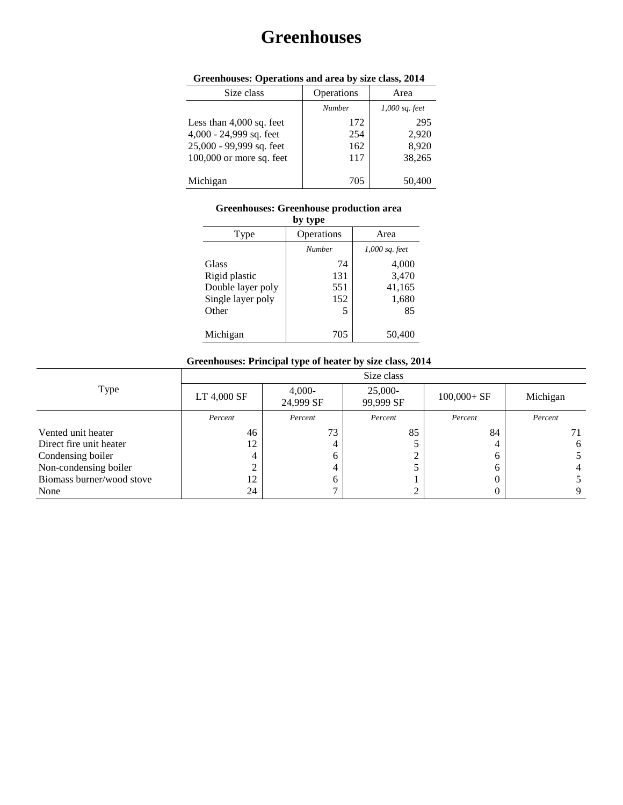# **Greenhouses**

| Size class                 | Operations    | Area             |
|----------------------------|---------------|------------------|
|                            | <b>Number</b> | $1,000$ sq. feet |
| Less than $4,000$ sq. feet | 172           | 295              |
| 4,000 - 24,999 sq. feet    | 254           | 2,920            |
| 25,000 - 99,999 sq. feet   | 162           | 8,920            |
| 100,000 or more sq. feet   | 117           | 38,265           |
| Michigan                   | 705           | 50,400           |

## **Greenhouses: Operations and area by size class, 2014**

#### **Greenhouses: Greenhouse production area by type**

| n'y risk          |            |                  |  |  |
|-------------------|------------|------------------|--|--|
| Type              | Operations | Area             |  |  |
|                   | Number     | $1,000$ sq. feet |  |  |
| <b>Glass</b>      | 74         | 4,000            |  |  |
| Rigid plastic     | 131        | 3,470            |  |  |
| Double layer poly | 551        | 41,165           |  |  |
| Single layer poly | 152        | 1,680            |  |  |
| Other             |            | 85               |  |  |
| Michigan          | 705        | 50,400           |  |  |

# **Greenhouses: Principal type of heater by size class, 2014**

|                           | Size class  |                       |                      |                |          |
|---------------------------|-------------|-----------------------|----------------------|----------------|----------|
| Type                      | LT 4,000 SF | $4,000-$<br>24,999 SF | 25,000-<br>99,999 SF | $100,000 + SF$ | Michigan |
|                           | Percent     | Percent               | Percent              | Percent        | Percent  |
| Vented unit heater        | 46          | 73                    | 85                   | 84             |          |
| Direct fire unit heater   | 12          | 4                     |                      | 4              | 6        |
| Condensing boiler         | 4           | 6                     |                      | h              |          |
| Non-condensing boiler     |             | 4                     |                      | b              |          |
| Biomass burner/wood stove |             | 6                     |                      |                |          |
| None                      | 24          |                       |                      | O              |          |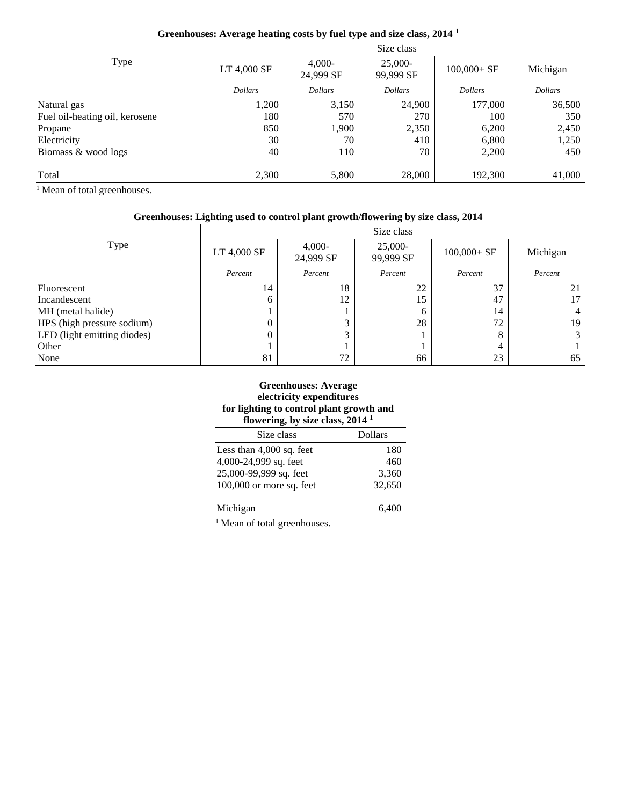| Greenhouses: Average heating costs by fuel type and size class, 2014 <sup>1</sup> |  |  |  |  |
|-----------------------------------------------------------------------------------|--|--|--|--|
|-----------------------------------------------------------------------------------|--|--|--|--|

|                                | Size class     |                        |                        |                |                |  |
|--------------------------------|----------------|------------------------|------------------------|----------------|----------------|--|
| Type                           | LT 4,000 SF    | $4.000 -$<br>24,999 SF | $25,000-$<br>99.999 SF | $100,000 + SF$ | Michigan       |  |
|                                | <b>Dollars</b> | <b>Dollars</b>         | <b>Dollars</b>         | <b>Dollars</b> | <b>Dollars</b> |  |
| Natural gas                    | 1,200          | 3,150                  | 24,900                 | 177,000        | 36,500         |  |
| Fuel oil-heating oil, kerosene | 180            | 570                    | 270                    | 100            | 350            |  |
| Propane                        | 850            | 1,900                  | 2,350                  | 6,200          | 2,450          |  |
| Electricity                    | 30             | 70                     | 410                    | 6,800          | 1,250          |  |
| Biomass & wood logs            | 40             | 110                    | 70                     | 2,200          | 450            |  |
| Total                          | 2,300          | 5,800                  | 28,000                 | 192,300        | 41,000         |  |

<sup>1</sup> Mean of total greenhouses.

# **Greenhouses: Lighting used to control plant growth/flowering by size class, 2014**

| Type                        | LT 4,000 SF | $4,000-$<br>24,999 SF | 25,000-<br>99,999 SF | $100,000 + SF$ | Michigan |
|-----------------------------|-------------|-----------------------|----------------------|----------------|----------|
|                             | Percent     | Percent               | Percent              | Percent        | Percent  |
| Fluorescent                 | 14          | 18                    | 22                   | 37             | 21       |
| Incandescent                | 6           | 12                    | 15                   | 47             |          |
| MH (metal halide)           |             |                       | b                    | 14             | 4        |
| HPS (high pressure sodium)  | 0           | 3                     | 28                   | 72             | 19       |
| LED (light emitting diodes) | O           | 3                     |                      |                |          |
| Other                       |             |                       |                      |                |          |
| None                        | 81          | 72                    | 66                   | 23             | 65       |

#### **Greenhouses: Average electricity expenditures for lighting to control plant growth and flowering, by size class, 2014 <sup>1</sup>**

| Size class                 | Dollars |
|----------------------------|---------|
| Less than $4,000$ sq. feet | 180     |
| 4,000-24,999 sq. feet      | 460     |
| 25,000-99,999 sq. feet     | 3,360   |
| $100,000$ or more sq. feet | 32,650  |
| Michigan                   | 6.400   |

<sup>1</sup> Mean of total greenhouses.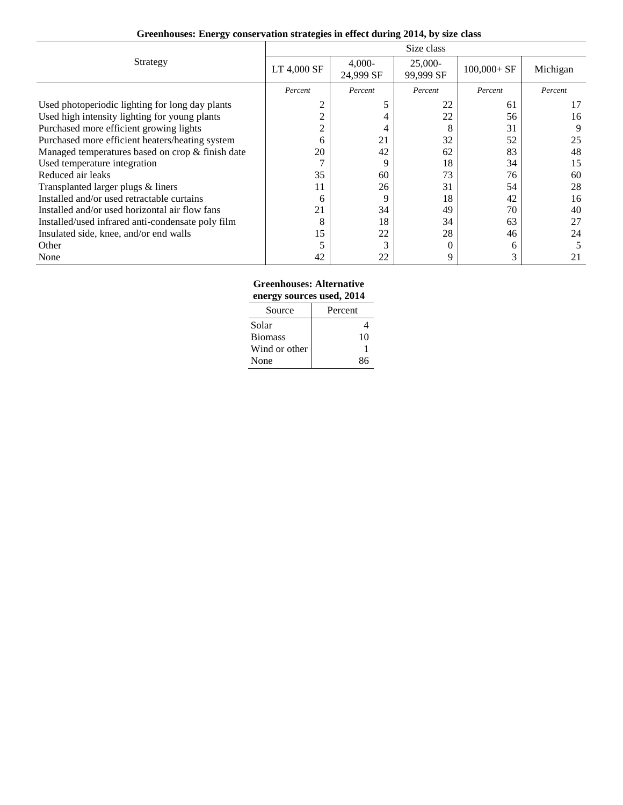|                                                   | Size class   |                        |                      |                |          |  |
|---------------------------------------------------|--------------|------------------------|----------------------|----------------|----------|--|
| Strategy                                          | LT 4,000 SF  | $4.000 -$<br>24,999 SF | 25,000-<br>99,999 SF | $100,000 + SF$ | Michigan |  |
|                                                   | Percent      | Percent                | Percent              | Percent        | Percent  |  |
| Used photoperiodic lighting for long day plants   |              |                        | 22                   | 61             | 17       |  |
| Used high intensity lighting for young plants     |              |                        | 22                   | 56             | 16       |  |
| Purchased more efficient growing lights           |              |                        | 8                    | 31             | 9        |  |
| Purchased more efficient heaters/heating system   | <sub>6</sub> | 21                     | 32                   | 52             | 25       |  |
| Managed temperatures based on crop & finish date  | 20           | 42                     | 62                   | 83             | 48       |  |
| Used temperature integration                      |              | 9                      | 18                   | 34             | 15       |  |
| Reduced air leaks                                 | 35           | 60                     | 73                   | 76             | 60       |  |
| Transplanted larger plugs & liners                | 11           | 26                     | 31                   | 54             | 28       |  |
| Installed and/or used retractable curtains        | 6            | 9                      | 18                   | 42             | 16       |  |
| Installed and/or used horizontal air flow fans    | 21           | 34                     | 49                   | 70             | 40       |  |
| Installed/used infrared anti-condensate poly film | 8            | 18                     | 34                   | 63             | 27       |  |
| Insulated side, knee, and/or end walls            | 15           | 22                     | 28                   | 46             | 24       |  |
| Other                                             |              |                        | $\theta$             | 6              |          |  |
| None                                              | 42           | 22                     | 9                    | 3              | 21       |  |

# **Greenhouses: Energy conservation strategies in effect during 2014, by size class**

## **Greenhouses: Alternative energy sources used, 2014**

| ັ              |         |
|----------------|---------|
| Source         | Percent |
| Solar          |         |
| <b>Biomass</b> | 10      |
| Wind or other  |         |
| None           | ጸና      |